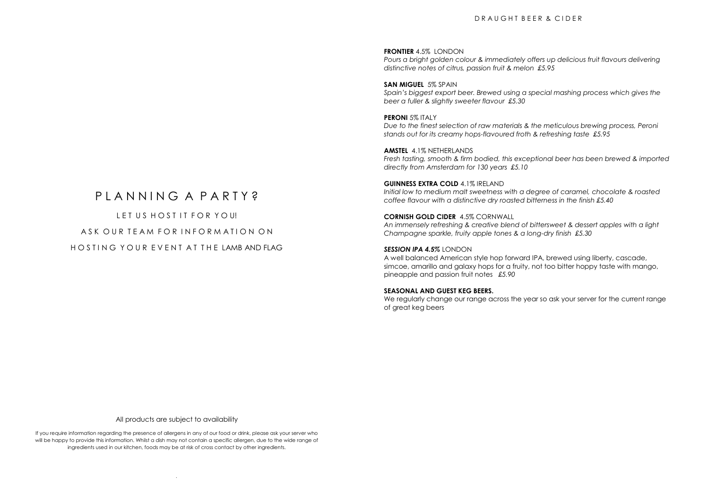# D R A U G H T B F E R & C I D F R

#### **FRONTIER** 4.5% LONDON

*Pours a bright golden colour & immediately offers up delicious fruit flavours delivering distinctive notes of citrus, passion fruit & melon £5.95*

# **SAN MIGUEL** 5% SPAIN

*Spain's biggest export beer. Brewed using a special mashing process which gives the beer a fuller & slightly sweeter flavour £5.30*

#### **PERONI 5% ITALY** *Due to the finest selection of raw materials & the meticulous brewing process, Peroni stands out for its creamy hops-flavoured froth & refreshing taste £5.95*

**AMSTEL** 4.1% NETHERLANDS *Fresh tasting, smooth & firm bodied, this exceptional beer has been brewed & imported directly from Amsterdam for 130 years £5.10*

# **GUINNESS EXTRA COLD** 4.1% IRELAND

*Initial low to medium malt sweetness with a degree of caramel, chocolate & roasted coffee flavour with a distinctive dry roasted bitterness in the finish £5.40*

#### **CORNISH GOLD CIDER** 4.5% CORNWALL

*An immensely refreshing & creative blend of bittersweet & dessert apples with a light Champagne sparkle, fruity apple tones & a long-dry finish £5.30*

#### *SESSION IPA 4.5%* LONDON

A well balanced American style hop forward IPA, brewed using liberty, cascade, simcoe, amarillo and galaxy hops for a fruity, not too bitter hoppy taste with mango, pineapple and passion fruit notes *£5.90*

## **SEASONAL AND GUEST KEG BEERS.**

We regularly change our range across the year so ask your server for the current range of great keg beers

# P L A N N I N G A P A R T Y 2

LET US HOST IT FOR YOU! A S K O U R T F A M F O R I N F O R M A T I O N O N HO S TIN G YOUR EVENT AT THE LAMB AND FLAG

All products are subject to availability

If you require information regarding the presence of allergens in any of our food or drink, please ask your server who will be happy to provide this information. Whilst a dish may not contain a specific allergen, due to the wide range of ingredients used in our kitchen, foods may be at risk of cross contact by other ingredients.

.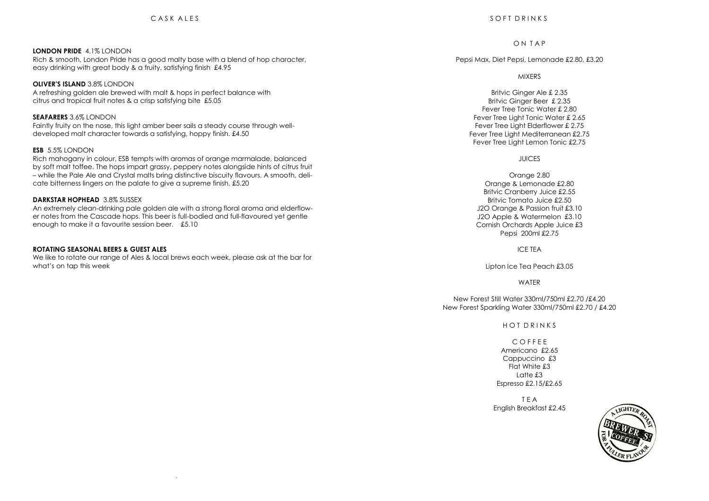#### **LONDON PRIDE** 4.1% LONDON

Rich & smooth, London Pride has a good malty base with a blend of hop character, easy drinking with great body & a fruity, satisfying finish £4.95

#### **OLIVER'S ISLAND** 3.8% LONDON

A refreshing golden ale brewed with malt & hops in perfect balance with citrus and tropical fruit notes & a crisp satisfying bite £5.05

## **SEAFARERS** 3.6% LONDON

Faintly fruity on the nose, this light amber beer sails a steady course through welldeveloped malt character towards a satisfying, hoppy finish. £4.50

# **ESB** 5.5% LONDON

Rich mahogany in colour, ESB tempts with aromas of orange marmalade, balanced by soft malt toffee. The hops impart grassy, peppery notes alongside hints of citrus fruit – while the Pale Ale and Crystal malts bring distinctive biscuity flavours. A smooth, delicate bitterness lingers on the palate to give a supreme finish. £5.20

#### **DARKSTAR HOPHEAD** 3.8% SUSSEX

An extremely clean-drinking pale golden ale with a strong floral aroma and elderflower notes from the Cascade hops. This beer is full-bodied and full-flavoured yet gentle enough to make it a favourite session beer. £5.10

#### **ROTATING SEASONAL BEERS & GUEST ALES**

We like to rotate our range of Ales & local brews each week, please ask at the bar for what's on tap this week

.

# O N T A P

Pepsi Max, Diet Pepsi, Lemonade £2.80, £3.20

## MIXERS

Britvic Ginger Ale £ 2.35 Britvic Ginger Beer £ 2.35 Fever Tree Tonic Water £ 2.80 Fever Tree Light Tonic Water £ 2.65 Fever Tree Light Elderflower £ 2.75 Fever Tree Light Mediterranean £2.75 Fever Tree Light Lemon Tonic £2.75

## JUICES

Orange 2.80 Orange & Lemonade £2.80 Britvic Cranberry Juice £2.55 Britvic Tomato Juice £2.50 J2O Orange & Passion fruit £3.10 J2O Apple & Watermelon £3.10 Cornish Orchards Apple Juice £3 Pepsi 200ml £2.75

#### ICE TEA

Lipton Ice Tea Peach £3.05

#### **WATER**

New Forest Still Water 330ml/750ml £2.70 /£4.20 New Forest Sparkling Water 330ml/750ml £2.70 / £4.20

# H O T D R I N K S

C O F F E E Americano £2.65 Cappuccino £3 Flat White £3  $L$ atte  $£3$ Espresso £2.15/£2.65

T E A English Breakfast £2.45

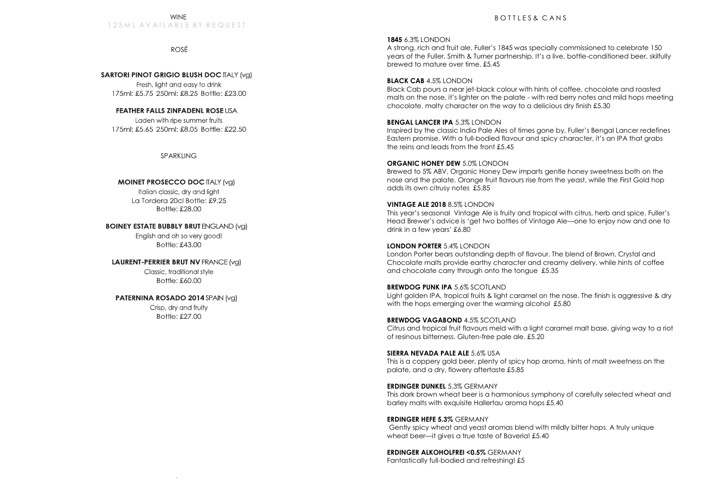#### WINE 1 2 5 M L A V A LL A B L E B Y R E Q U E S T

ROSÉ

#### **SARTORI PINOT GRIGIO BLUSH DOC ITALY (VGI)**

Fresh, light and easy to drink 175ml: £5.75 250ml: £8.25 Bottle: £23.00

# **FEATHER FALLS ZINFADENL ROSE USA**

Laden with ripe summer fruits 175ml: £5.65 250ml: £8.05 Bottle: £22.50

SPARKLING

# **MOINET PROSECCO DOC ITALY (VG)**

Italian classic, dry and light La Tordera 20cl Bottle: £9.25 Bottle: £28.00

**BOINEY ESTATE BUBBLY BRUT ENGLAND (va)** English and oh so very good! Bottle: £43.00

# **LAURENT-PERRIER BRUT NV FRANCE (VG)** Classic, traditional style

Bottle: £60.00

# **PATERNINA ROSADO 2014 SPAIN (VG)**

.

Crisp, dry and fruity Bottle: £27.00

# **1845** 6.3% LONDON

A strong, rich and fruit ale, Fuller's 1845 was specially commissioned to celebrate 150 years of the Fuller, Smith & Turner partnership. It's a live, bottle-conditioned beer, skilfully brewed to mature over time. £5.45

# **BLACK CAB** 4.5% LONDON

Black Cab pours a near jet-black colour with hints of coffee, chocolate and roasted malts on the nose, it's lighter on the palate - with red berry notes and mild hops meeting chocolate, malty character on the way to a delicious dry finish £5.30

# **BENGAL LANCER IPA** 5.3% LONDON

Inspired by the classic India Pale Ales of times gone by, Fuller's Bengal Lancer redefines Eastern promise. With a full-bodied flavour and spicy character, it's an IPA that grabs the reins and leads from the front £5.45

## **ORGANIC HONEY DEW** 5.0% LONDON

Brewed to 5% ABV, Organic Honey Dew imparts gentle honey sweetness both on the nose and the palate. Orange fruit flavours rise from the yeast, while the First Gold hop adds its own citrusy notes £5.85

## **VINTAGE ALE 2018** 8.5% LONDON

This year's seasonal Vintage Ale is fruity and tropical with citrus, herb and spice. Fuller's Head Brewer's advice is 'get two bottles of Vintage Ale—one to enjoy now and one to drink in a few years' £6.80

# **LONDON PORTER** 5.4% LONDON

London Porter bears outstanding depth of flavour. The blend of Brown, Crystal and Chocolate malts provide earthy character and creamy delivery, while hints of coffee and chocolate carry through onto the tongue £5.35

# **BREWDOG PUNK IPA 5.6% SCOTLAND**

Light golden IPA, tropical fruits & light caramel on the nose. The finish is aggressive & dry with the hops emerging over the warming alcohol £5.80

# **BREWDOG VAGABOND** 4.5% SCOTLAND

Citrus and tropical fruit flavours meld with a light caramel malt base, giving way to a riot of resinous bitterness. Gluten-free pale ale. £5.20

## **SIERRA NEVADA PALE ALE** 5.6% USA

This is a coppery gold beer, plenty of spicy hop aroma, hints of malt sweetness on the palate, and a dry, flowery aftertaste £5.85

## **ERDINGER DUNKEL** 5.3% GERMANY

This dark brown wheat beer is a harmonious symphony of carefully selected wheat and barley malts with exquisite Hallertau aroma hops £5.40

# **ERDINGER HEFE 5.3%** GERMANY

Gently spicy wheat and yeast aromas blend with mildly bitter hops. A truly unique wheat beer—it gives a true taste of Baveria! £5.40

# **ERDINGER ALKOHOLFREI <0.5%** GERMANY

Fantastically full-bodied and refreshing! £5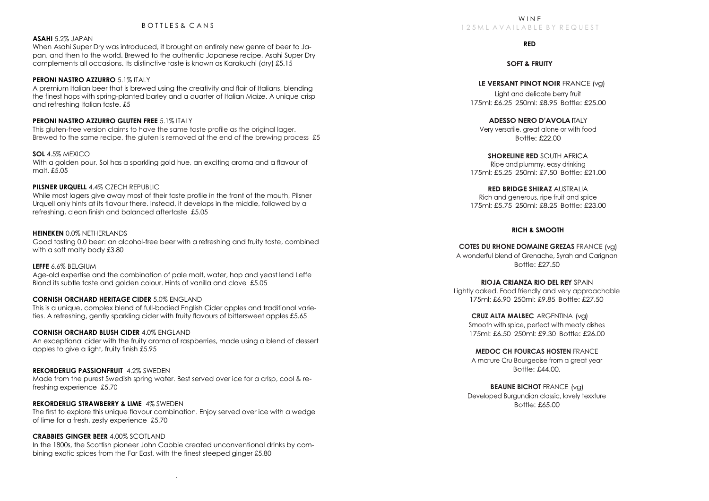#### BOTTLES& CANS

# **ASAHI** 5.2% JAPAN

When Asahi Super Dry was introduced, it brought an entirely new genre of beer to Japan, and then to the world. Brewed to the authentic Japanese recipe, Asahi Super Dry complements all occasions. Its distinctive taste is known as Karakuchi (dry) £5.15

#### **PERONI NASTRO AZZURRO 5.1% ITALY**

A premium Italian beer that is brewed using the creativity and flair of Italians, blending the finest hops with spring-planted barley and a quarter of Italian Maize. A unique crisp and refreshing Italian taste. £5

#### **PERONI NASTRO AZZURRO GLUTEN FREE** 5.1% ITALY

This gluten-free version claims to have the same taste profile as the original lager. Brewed to the same recipe, the gluten is removed at the end of the brewing process £5

# **SOL** 4.5% MEXICO

With a golden pour, Sol has a sparkling gold hue, an exciting aroma and a flavour of malt. £5.05

#### **PILSNER URQUELL** 4.4% CZECH REPUBLIC

While most lagers give away most of their taste profile in the front of the mouth, Pilsner Urquell only hints at its flavour there. Instead, it develops in the middle, followed by a refreshing, clean finish and balanced aftertaste £5.05

## **HEINEKEN** 0.0% NETHERLANDS

Good tasting 0.0 beer: an alcohol-free beer with a refreshing and fruity taste, combined with a soft malty body £3.80

#### **LEFFE** 6.6% BELGIUM

Age-old expertise and the combination of pale malt, water, hop and yeast lend Leffe Blond its subtle taste and golden colour. Hints of vanilla and clove £5.05

# **CORNISH ORCHARD HERITAGE CIDER** 5.0% ENGLAND

This is a unique, complex blend of full-bodied English Cider apples and traditional varieties. A refreshing, gently sparkling cider with fruity flavours of bittersweet apples £5.65

#### **CORNISH ORCHARD BLUSH CIDER** 4.0% ENGLAND

An exceptional cider with the fruity aroma of raspberries, made using a blend of dessert apples to give a light, fruity finish £5.95

#### **REKORDERLIG PASSIONFRUIT** 4.2% SWEDEN

Made from the purest Swedish spring water. Best served over ice for a crisp, cool & refreshing experience £5.70

#### **REKORDERLIG STRAWBERRY & LIME** 4% SWEDEN

The first to explore this unique flavour combination. Enjoy served over ice with a wedge of lime for a fresh, zesty experience £5.70

# **CRABBIES GINGER BEER** 4.00% SCOTLAND

In the 1800s, the Scottish pioneer John Cabbie created unconventional drinks by combining exotic spices from the Far East, with the finest steeped ginger £5.80

.

# **RED**

# **SOFT & FRUITY**

LE VERSANT PINOT NOIR FRANCE (val

Light and delicate berry fruit 175ml: £6.25 250ml: £8.95 Bottle: £25.00

**ADESSO NERO D'AVOLA ITALY** Very versatile, areat alone or with food Bottle: £22.00

SHORFLINE RED SOLITH AFRICA Ripe and plummy, easy drinking 175ml: £5.25 250ml: £7.50 Bottle: £21.00

#### **RED BRIDGE SHIRAZ AUSTRALIA**

Rich and generous, ripe fruit and spice 175ml: £5.75 250ml: £8.25 Bottle: £23.00

# **RICH & SMOOTH**

**COTES DU RHONE DOMAINE GREZAS FRANCE (val)** A wonderful blend of Grenache, Syrah and Carignan Bottle: £27.50

# **RIOJA CRIANZA RIO DEL REY SPAIN**

 Lightly oaked. Food friendly and very approachable 175ml: £6.90 250ml: £9.85 Bottle: £27.50

#### **CRUZ ALTA MALBEC** ARGENTINA

Smooth with spice, perfect with meaty dishes 175ml: £6.50, 250ml: £9.30, Bottle: £26.00

# **MEDOC CH FOURCAS HOSTEN** FRANCE

A mature Cru Bourgeoise from a great year  $R$ ottle:  $f4400$ 

## **BEAUNE BICHOT FRANCE (val)**

Developed Burgundian classic, lovely texxture Bottle: £65.00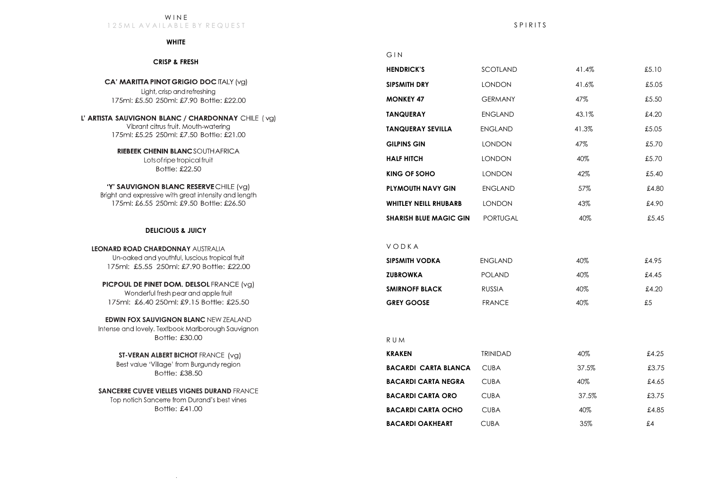#### W I N E 125 M L A V A I L A B L E B Y R E Q U E S T

#### **WHITE**

#### **CRISP & FRESH**

**CA' MARITTA PINOT GRIGIO DOC ITALY (vg)** Light, crisp and refreshing 175ml: £5.50 250ml: £7.90 Bottle: £22.00

L' ARTISTA SAUVIGNON BLANC / CHARDONNAY CHILE (vq) Vibrant citrus fruit. Mouth-watering 175ml: £5.25 250ml: £7.50 Bottle: £21.00

> **RIEBEEK CHENIN BLANC SOUTHAFRICA** Lots of ripe tropical fruit Bottle: £22.50

'Y' SAUVIGNON BLANC RESERVECHILE (vg) Bright and expressive with great intensity and length 175ml: £6.55 250ml: £9.50 Bottle: £26.50

## **DELICIOUS & JUICY**

**LEONARD ROAD CHARDONNAY** AUSTRALIA Un-oaked and youthful, luscious tropical fruit 175ml: £5.55 250ml: £7.90 Bottle: £22.00

PICPOUL DE PINET DOM. DELSOL FRANCE (vg) Wonderful fresh pear and apple fruit 175ml: £6.40 250ml: £9.15 Bottle: £25.50

**EDWIN FOX SAUVIGNON BLANC** NEW ZEALAND Intense and lovely. Textbook Marlborough Sauvignon Bottle: £30.00

> **ST-VERAN ALBERT BICHOT FRANCE (vg)** Best value 'Village' from Burgundy region Bottle: £38.50

**SANCERRE CUVEE VIELLES VIGNES DURAND** FRANCE Top notich Sancerre from Durand's best vines Bottle: £41.00

.

# G I N

| <b>HENDRICK'S</b>             | SCOTLAND        | 41.4% | £5.10 |
|-------------------------------|-----------------|-------|-------|
| <b>SIPSMITH DRY</b>           | <b>LONDON</b>   | 41.6% | £5.05 |
| <b>MONKEY 47</b>              | <b>GERMANY</b>  | 47%   | £5.50 |
| <b>TANQUERAY</b>              | <b>ENGLAND</b>  | 43.1% | £4.20 |
| <b>TANQUERAY SEVILLA</b>      | <b>ENGLAND</b>  | 41.3% | £5.05 |
| <b>GILPINS GIN</b>            | <b>LONDON</b>   | 47%   | £5.70 |
| <b>HALF HITCH</b>             | <b>LONDON</b>   | 40%   | £5.70 |
| KING OF SOHO                  | <b>LONDON</b>   | 42%   | £5.40 |
| <b>PLYMOUTH NAVY GIN</b>      | <b>ENGLAND</b>  | 57%   | £4.80 |
| <b>WHITLEY NEILL RHUBARB</b>  | <b>LONDON</b>   | 43%   | £4.90 |
| <b>SHARISH BLUE MAGIC GIN</b> | <b>PORTUGAL</b> | 40%   | £5.45 |
|                               |                 |       |       |

V O D K A

| <b>SIPSMITH VODKA</b> | ENGLAND       | $40\%$ | £4.95 |
|-----------------------|---------------|--------|-------|
| <b>ZUBROWKA</b>       | <b>POLAND</b> | 40%    | £4.45 |
| <b>SMIRNOFF BLACK</b> | <b>RUSSIA</b> | 40%    | £4.20 |
| <b>GREY GOOSE</b>     | <b>FRANCE</b> | 40%    | £5    |

R U M

| <b>KRAKEN</b>               | <b>TRINIDAD</b> | 40%    | £4.25 |
|-----------------------------|-----------------|--------|-------|
| <b>BACARDI CARTA BLANCA</b> | <b>CUBA</b>     | 37.5%  | £3.75 |
| <b>BACARDI CARTA NEGRA</b>  | <b>CUBA</b>     | 40%    | £4.65 |
| <b>BACARDI CARTA ORO</b>    | <b>CUBA</b>     | 37.5%  | £3.75 |
| <b>BACARDI CARTA OCHO</b>   | <b>CURA</b>     | $40\%$ | £4.85 |
| <b>BACARDI OAKHEART</b>     | CUBA            | 35%    | £.4   |